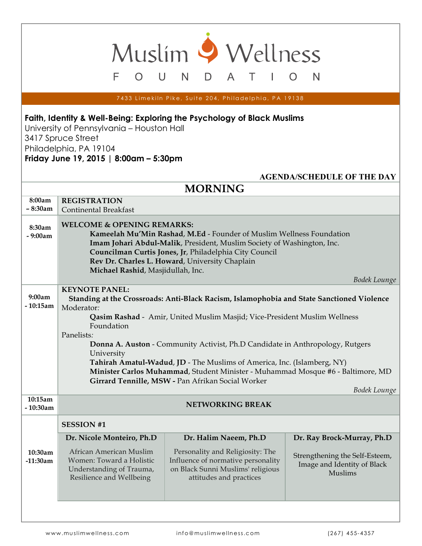7433 Limekiln Pike, Suite 204, Philadelphia, PA 19138

D

Muslim 9 Wellness

A

Τ

 $\mathsf{N}$ 

O

## **Faith, Identity & Well-Being: Exploring the Psychology of Black Muslims**

 $\cup$ 

N

 $\bigcirc$ 

University of Pennsylvania – Houston Hall 3417 Spruce Street Philadelphia, PA 19104 **Friday June 19, 2015 | 8:00am – 5:30pm**

E

| <b>AGENDA/SCHEDULE OF THE DAY</b> |                                                                                             |                                       |                                                               |  |  |  |  |  |
|-----------------------------------|---------------------------------------------------------------------------------------------|---------------------------------------|---------------------------------------------------------------|--|--|--|--|--|
| <b>MORNING</b>                    |                                                                                             |                                       |                                                               |  |  |  |  |  |
| 8:00am                            | <b>REGISTRATION</b>                                                                         |                                       |                                                               |  |  |  |  |  |
| $-8:30am$                         | <b>Continental Breakfast</b>                                                                |                                       |                                                               |  |  |  |  |  |
| 8:30am                            |                                                                                             | <b>WELCOME &amp; OPENING REMARKS:</b> |                                                               |  |  |  |  |  |
| - 9:00am                          | Kameelah Mu'Min Rashad, M.Ed - Founder of Muslim Wellness Foundation                        |                                       |                                                               |  |  |  |  |  |
|                                   | Imam Johari Abdul-Malik, President, Muslim Society of Washington, Inc.                      |                                       |                                                               |  |  |  |  |  |
|                                   | Councilman Curtis Jones, Jr, Philadelphia City Council                                      |                                       |                                                               |  |  |  |  |  |
|                                   | Rev Dr. Charles L. Howard, University Chaplain                                              |                                       |                                                               |  |  |  |  |  |
|                                   | Michael Rashid, Masjidullah, Inc.<br>Bodek Lounge                                           |                                       |                                                               |  |  |  |  |  |
|                                   | <b>KEYNOTE PANEL:</b>                                                                       |                                       |                                                               |  |  |  |  |  |
| 9:00am                            | Standing at the Crossroads: Anti-Black Racism, Islamophobia and State Sanctioned Violence   |                                       |                                                               |  |  |  |  |  |
| $-10:15am$                        | Moderator:                                                                                  |                                       |                                                               |  |  |  |  |  |
|                                   | Qasim Rashad - Amir, United Muslim Masjid; Vice-President Muslim Wellness                   |                                       |                                                               |  |  |  |  |  |
|                                   | Foundation                                                                                  |                                       |                                                               |  |  |  |  |  |
|                                   | Panelists:                                                                                  |                                       |                                                               |  |  |  |  |  |
|                                   | Donna A. Auston - Community Activist, Ph.D Candidate in Anthropology, Rutgers<br>University |                                       |                                                               |  |  |  |  |  |
|                                   | Tahirah Amatul-Wadud, JD - The Muslims of America, Inc. (Islamberg, NY)                     |                                       |                                                               |  |  |  |  |  |
|                                   | Minister Carlos Muhammad, Student Minister - Muhammad Mosque #6 - Baltimore, MD             |                                       |                                                               |  |  |  |  |  |
|                                   | Girrard Tennille, MSW - Pan Afrikan Social Worker                                           |                                       |                                                               |  |  |  |  |  |
|                                   | Bodek Lounge                                                                                |                                       |                                                               |  |  |  |  |  |
| 10:15am<br>- 10:30am              | <b>NETWORKING BREAK</b>                                                                     |                                       |                                                               |  |  |  |  |  |
|                                   | <b>SESSION #1</b>                                                                           |                                       |                                                               |  |  |  |  |  |
|                                   | Dr. Nicole Monteiro, Ph.D                                                                   | Dr. Halim Naeem, Ph.D                 | Dr. Ray Brock-Murray, Ph.D                                    |  |  |  |  |  |
| 10:30am                           | African American Muslim                                                                     | Personality and Religiosity: The      |                                                               |  |  |  |  |  |
| $-11:30am$                        | Women: Toward a Holistic                                                                    | Influence of normative personality    | Strengthening the Self-Esteem,<br>Image and Identity of Black |  |  |  |  |  |
|                                   | Understanding of Trauma,                                                                    | on Black Sunni Muslims' religious     | <b>Muslims</b>                                                |  |  |  |  |  |
|                                   | Resilience and Wellbeing                                                                    | attitudes and practices               |                                                               |  |  |  |  |  |
|                                   |                                                                                             |                                       |                                                               |  |  |  |  |  |
|                                   |                                                                                             |                                       |                                                               |  |  |  |  |  |
|                                   |                                                                                             |                                       |                                                               |  |  |  |  |  |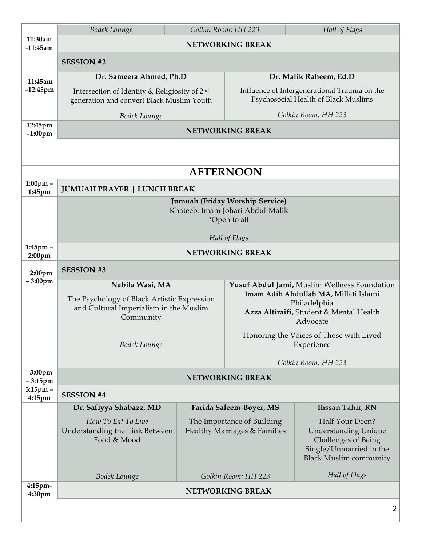|                                  | Bodek Lounge                                                                               | Golkin Room: HH 223                                        |                                                                                      | Hall of Flags                                                                                                                            |  |  |  |
|----------------------------------|--------------------------------------------------------------------------------------------|------------------------------------------------------------|--------------------------------------------------------------------------------------|------------------------------------------------------------------------------------------------------------------------------------------|--|--|--|
| 11:30am<br>$-11:45am$            | <b>NETWORKING BREAK</b>                                                                    |                                                            |                                                                                      |                                                                                                                                          |  |  |  |
|                                  | <b>SESSION #2</b>                                                                          |                                                            |                                                                                      |                                                                                                                                          |  |  |  |
| 11:45am<br>$-12:45$ pm           | Dr. Sameera Ahmed, Ph.D                                                                    |                                                            | Dr. Malik Raheem, Ed.D                                                               |                                                                                                                                          |  |  |  |
|                                  | Intersection of Identity & Religiosity of 2nd<br>generation and convert Black Muslim Youth |                                                            | Influence of Intergenerational Trauma on the<br>Psychosocial Health of Black Muslims |                                                                                                                                          |  |  |  |
|                                  | <b>Bodek Lounge</b>                                                                        |                                                            | Golkin Room: HH 223                                                                  |                                                                                                                                          |  |  |  |
| 12:45pm<br>$-1:00$ pm            | NETWORKING BREAK                                                                           |                                                            |                                                                                      |                                                                                                                                          |  |  |  |
|                                  |                                                                                            |                                                            |                                                                                      |                                                                                                                                          |  |  |  |
|                                  |                                                                                            |                                                            |                                                                                      |                                                                                                                                          |  |  |  |
| <b>AFTERNOON</b>                 |                                                                                            |                                                            |                                                                                      |                                                                                                                                          |  |  |  |
| $1:00$ pm -<br>1:45pm            | <b>JUMUAH PRAYER   LUNCH BREAK</b>                                                         |                                                            |                                                                                      |                                                                                                                                          |  |  |  |
|                                  | Jumuah (Friday Worship Service)                                                            |                                                            |                                                                                      |                                                                                                                                          |  |  |  |
|                                  | Khateeb: Imam Johari Abdul-Malik<br>*Open to all                                           |                                                            |                                                                                      |                                                                                                                                          |  |  |  |
|                                  | Hall of Flags                                                                              |                                                            |                                                                                      |                                                                                                                                          |  |  |  |
| 1:45pm -                         | <b>NETWORKING BREAK</b>                                                                    |                                                            |                                                                                      |                                                                                                                                          |  |  |  |
| 2:00 <sub>pm</sub>               | <b>SESSION #3</b>                                                                          |                                                            |                                                                                      |                                                                                                                                          |  |  |  |
| 2:00 <sub>pm</sub><br>$-3:00$ pm | Yusuf Abdul Jami, Muslim Wellness Foundation<br>Nabila Wasi, MA                            |                                                            |                                                                                      |                                                                                                                                          |  |  |  |
|                                  | The Psychology of Black Artistic Expression                                                |                                                            | Imam Adib Abdullah MA, Millati Islami                                                |                                                                                                                                          |  |  |  |
|                                  | and Cultural Imperialism in the Muslim                                                     |                                                            | Philadelphia<br>Azza Altiraifi, Student & Mental Health                              |                                                                                                                                          |  |  |  |
|                                  | Community<br>Advocate                                                                      |                                                            |                                                                                      |                                                                                                                                          |  |  |  |
|                                  |                                                                                            |                                                            | Honoring the Voices of Those with Lived                                              |                                                                                                                                          |  |  |  |
|                                  | Bodek Lounge                                                                               |                                                            | Experience                                                                           |                                                                                                                                          |  |  |  |
| 3:00pm                           | Golkin Room: HH 223                                                                        |                                                            |                                                                                      |                                                                                                                                          |  |  |  |
| $-3:15$ pm                       | <b>NETWORKING BREAK</b>                                                                    |                                                            |                                                                                      |                                                                                                                                          |  |  |  |
| 3:15pm -<br>$4:15$ pm            | <b>SESSION #4</b>                                                                          |                                                            |                                                                                      |                                                                                                                                          |  |  |  |
|                                  | Dr. Safiyya Shabazz, MD                                                                    |                                                            | Farida Saleem-Boyer, MS                                                              | <b>Ihssan Tahir, RN</b>                                                                                                                  |  |  |  |
|                                  | How To Eat To Live<br>Understanding the Link Between<br>Food & Mood                        | The Importance of Building<br>Healthy Marriages & Families |                                                                                      | Half Your Deen?<br><b>Understanding Unique</b><br><b>Challenges of Being</b><br>Single/Unmarried in the<br><b>Black Muslim community</b> |  |  |  |
|                                  | <b>Bodek Lounge</b>                                                                        |                                                            | Hall of Flags<br>Golkin Room: HH 223                                                 |                                                                                                                                          |  |  |  |
| 4:15pm-<br>4:30pm                | <b>NETWORKING BREAK</b>                                                                    |                                                            |                                                                                      |                                                                                                                                          |  |  |  |
|                                  | $\overline{2}$                                                                             |                                                            |                                                                                      |                                                                                                                                          |  |  |  |